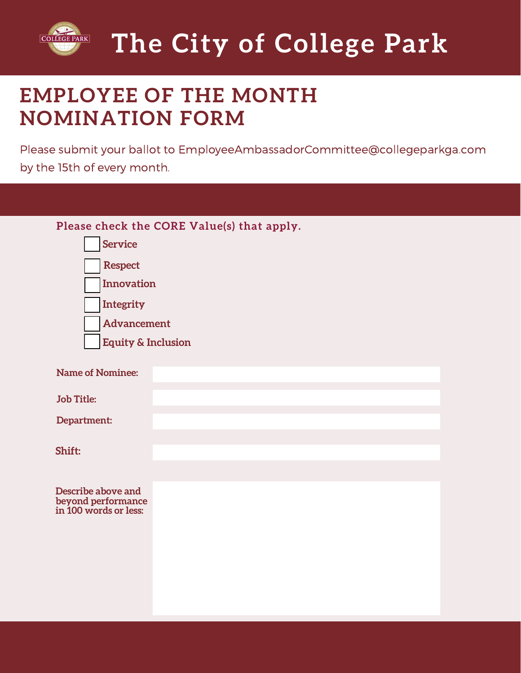

# **EMPLOYEE OF THE MONTH NOMINATION FORM**

Please submit your ballot to EmployeeAmbassadorCommittee@collegeparkga.com by the 15th of every month.

| Please check the CORE Value(s) that apply.                        |  |
|-------------------------------------------------------------------|--|
| <b>Service</b>                                                    |  |
| <b>Respect</b>                                                    |  |
| Innovation                                                        |  |
| Integrity                                                         |  |
| Advancement                                                       |  |
| <b>Equity &amp; Inclusion</b>                                     |  |
|                                                                   |  |
| <b>Name of Nominee:</b>                                           |  |
| <b>Job Title:</b>                                                 |  |
| Department:                                                       |  |
|                                                                   |  |
| Shift:                                                            |  |
|                                                                   |  |
| Describe above and<br>beyond performance<br>in 100 words or less: |  |
|                                                                   |  |
|                                                                   |  |
|                                                                   |  |
|                                                                   |  |
|                                                                   |  |
|                                                                   |  |